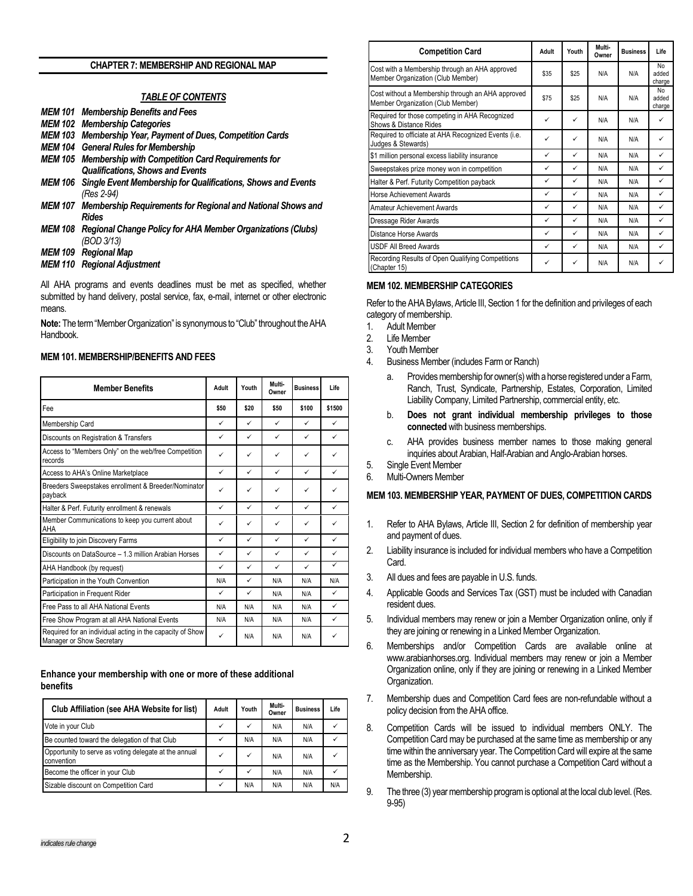#### **CHAPTER 7: MEMBERSHIP AND REGIONAL MAP**

### *TABLE OF CONTENTS*

- *MEM 101 Membership Benefits and Fees*
- *MEM 102 Membership Categories*
- *MEM 103 Membership Year, Payment of Dues, Competition Cards*
- *MEM 104 General Rules for Membership*
- *MEM 105 Membership with Competition Card Requirements for Qualifications, Shows and Events*
- *MEM 106 Single Event Membership for Qualifications, Shows and Events (Res 2-94)*
- *MEM 107 Membership Requirements for Regional and National Shows and Rides*
- *MEM 108 Regional Change Policy for AHA Member Organizations (Clubs) (BOD 3/13)*
- *MEM 109 Regional Map*
- *MEM 110 Regional Adjustment*

All AHA programs and events deadlines must be met as specified, whether submitted by hand delivery, postal service, fax, e-mail, internet or other electronic means.

**Note:** The term "Member Organization" is synonymous to "Club" throughout the AHA Handbook.

#### **MEM 101. MEMBERSHIP/BENEFITS AND FEES**

| <b>Member Benefits</b>                                                                 | Adult        | Youth        | Multi-<br>Owner | <b>Business</b> | Life         |
|----------------------------------------------------------------------------------------|--------------|--------------|-----------------|-----------------|--------------|
| Fee                                                                                    | \$50         | \$20         | \$50            | \$100           | \$1500       |
| Membership Card                                                                        | ✓            | ✓            | ✓               | $\checkmark$    | ✓            |
| Discounts on Registration & Transfers                                                  | ✓            | $\checkmark$ | $\checkmark$    | ✓               | ✓            |
| Access to "Members Only" on the web/free Competition<br>records                        | ✓            | $\checkmark$ | ✓               | ✓               | $\checkmark$ |
| Access to AHA's Online Marketplace                                                     | $\checkmark$ | ✓            | $\checkmark$    | $\checkmark$    | $\checkmark$ |
| Breeders Sweepstakes enrollment & Breeder/Nominator<br>payback                         | ✓            | ✓            | ✓               | ✓               | ✓            |
| Halter & Perf. Futurity enrollment & renewals                                          | ✓            | $\checkmark$ | ✓               | ✓               | $\checkmark$ |
| Member Communications to keep you current about<br>AHA                                 | ✓            | ✓            | ✓               | ✓               | ✓            |
| Eligibility to join Discovery Farms                                                    | ✓            | ✓            | ✓               | ✓               | ✓            |
| Discounts on DataSource - 1.3 million Arabian Horses                                   | ✓            | ✓            | ✓               | ✓               | ✓            |
| AHA Handbook (by request)                                                              | ✓            | $\checkmark$ | $\checkmark$    | ✓               | $\checkmark$ |
| Participation in the Youth Convention                                                  | N/A          | ✓            | N/A             | N/A             | N/A          |
| Participation in Frequent Rider                                                        | $\checkmark$ | $\checkmark$ | N/A             | N/A             | $\checkmark$ |
| Free Pass to all AHA National Events                                                   | N/A          | N/A          | N/A             | N/A             | $\checkmark$ |
| Free Show Program at all AHA National Events                                           | N/A          | N/A          | N/A             | N/A             | ✓            |
| Required for an individual acting in the capacity of Show<br>Manager or Show Secretary | $\checkmark$ | N/A          | N/A             | N/A             | ✓            |

#### **Enhance your membership with one or more of these additional benefits**

| Club Affiliation (see AHA Website for list)                         | Adult        | Youth | Multi-<br>Owner | <b>Business</b> | Life |
|---------------------------------------------------------------------|--------------|-------|-----------------|-----------------|------|
| Vote in your Club                                                   | ✓            |       | N/A             | N/A             |      |
| Be counted toward the delegation of that Club                       | $\checkmark$ | N/A   | N/A             | N/A             |      |
| Opportunity to serve as voting delegate at the annual<br>convention | ✓            | ✓     | N/A             | N/A             |      |
| Become the officer in your Club                                     | $\checkmark$ | ✓     | N/A             | N/A             |      |
| Sizable discount on Competition Card                                | ✓            | N/A   | N/A             | N/A             | N/A  |

| <b>Competition Card</b>                                                                | Adult | Youth | Multi-<br>Owner | <b>Business</b> | Life                  |
|----------------------------------------------------------------------------------------|-------|-------|-----------------|-----------------|-----------------------|
| Cost with a Membership through an AHA approved<br>Member Organization (Club Member)    | \$35  | \$25  | N/A             | N/A             | No<br>added<br>charge |
| Cost without a Membership through an AHA approved<br>Member Organization (Club Member) | \$75  | \$25  | N/A             | N/A             | No<br>added<br>charge |
| Required for those competing in AHA Recognized<br>Shows & Distance Rides               | ✓     | ✓     | N/A             | N/A             | ✓                     |
| Required to officiate at AHA Recognized Events (i.e.<br>Judges & Stewards)             | ✓     | ✓     | N/A             | N/A             |                       |
| \$1 million personal excess liability insurance                                        | ✓     | ✓     | N/A             | N/A             | ✓                     |
| Sweepstakes prize money won in competition                                             | ✓     | ✓     | N/A             | N/A             | ✓                     |
| Halter & Perf. Futurity Competition payback                                            | ✓     | ✓     | N/A             | N/A             | $\checkmark$          |
| <b>Horse Achievement Awards</b>                                                        | ✓     | ✓     | N/A             | N/A             | ✓                     |
| Amateur Achievement Awards                                                             | ✓     | ✓     | N/A             | N/A             | $\checkmark$          |
| Dressage Rider Awards                                                                  | ✓     | ✓     | N/A             | N/A             | ✓                     |
| Distance Horse Awards                                                                  | ✓     | ✓     | N/A             | N/A             | ✓                     |
| <b>USDF All Breed Awards</b>                                                           | ✓     | ✓     | N/A             | N/A             | ✓                     |
| Recording Results of Open Qualifying Competitions<br>(Chapter 15)                      | ✓     | ✓     | N/A             | N/A             |                       |

### **MEM 102. MEMBERSHIP CATEGORIES**

Refer to the AHA Bylaws, Article III, Section 1 for the definition and privileges of each category of membership.

1. Adult Member

- 2. Life Member
- 3. Youth Member
- 4. Business Member (includes Farm or Ranch)
	- a. Provides membership for owner(s) with a horse registered under a Farm, Ranch, Trust, Syndicate, Partnership, Estates, Corporation, Limited Liability Company, Limited Partnership, commercial entity, etc.
	- b. **Does not grant individual membership privileges to those connected** with business memberships.
	- c. AHA provides business member names to those making general inquiries about Arabian, Half-Arabian and Anglo-Arabian horses.
- 5. Single Event Member
- 6. Multi-Owners Member

### **MEM 103. MEMBERSHIP YEAR, PAYMENT OF DUES, COMPETITION CARDS**

- 1. Refer to AHA Bylaws, Article III, Section 2 for definition of membership year and payment of dues.
- 2. Liability insurance is included for individual members who have a Competition Card.
- 3. All dues and fees are payable in U.S. funds.
- 4. Applicable Goods and Services Tax (GST) must be included with Canadian resident dues.
- 5. Individual members may renew or join a Member Organization online, only if they are joining or renewing in a Linked Member Organization.
- 6. Memberships and/or Competition Cards are available online at www.arabianhorses.org. Individual members may renew or join a Member Organization online, only if they are joining or renewing in a Linked Member Organization.
- 7. Membership dues and Competition Card fees are non-refundable without a policy decision from the AHA office.
- 8. Competition Cards will be issued to individual members ONLY. The Competition Card may be purchased at the same time as membership or any time within the anniversary year. The Competition Card will expire at the same time as the Membership. You cannot purchase a Competition Card without a Membership.
- 9. The three (3) year membership program is optional at the local club level.(Res. 9-95)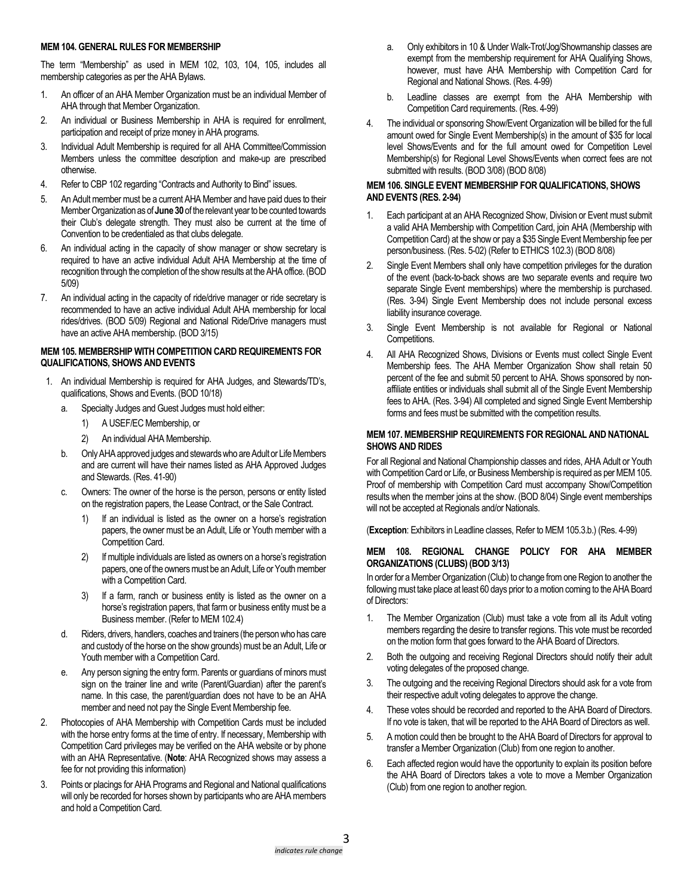### **MEM 104. GENERAL RULES FOR MEMBERSHIP**

The term "Membership" as used in MEM 102, 103, 104, 105, includes all membership categories as per the AHA Bylaws.

- 1. An officer of an AHA Member Organization must be an individual Member of AHA through that Member Organization.
- 2. An individual or Business Membership in AHA is required for enrollment, participation and receipt of prize money in AHA programs.
- 3. Individual Adult Membership is required for all AHA Committee/Commission Members unless the committee description and make-up are prescribed otherwise.
- 4. Refer to CBP 102 regarding "Contracts and Authority to Bind" issues.
- 5. An Adult member must be a current AHA Member and have paid dues to their Member Organization as of **June 30**of the relevant yearto be counted towards their Club's delegate strength. They must also be current at the time of Convention to be credentialed as that clubs delegate.
- 6. An individual acting in the capacity of show manager or show secretary is required to have an active individual Adult AHA Membership at the time of recognition through the completion of the show results at the AHA office. (BOD 5/09)
- 7. An individual acting in the capacity of ride/drive manager or ride secretary is recommended to have an active individual Adult AHA membership for local rides/drives. (BOD 5/09) Regional and National Ride/Drive managers must have an active AHA membership. (BOD 3/15)

## **MEM 105. MEMBERSHIP WITH COMPETITION CARD REQUIREMENTS FOR QUALIFICATIONS, SHOWS AND EVENTS**

- 1. An individual Membership is required for AHA Judges, and Stewards/TD's, qualifications, Shows and Events. (BOD 10/18)
	- a. Specialty Judges and Guest Judges must hold either:
		- 1) A USEF/EC Membership, or
		- 2) An individual AHA Membership.
	- b. Only AHA approved judges and stewards who are Adult or Life Members and are current will have their names listed as AHA Approved Judges and Stewards. (Res. 41-90)
	- c. Owners: The owner of the horse is the person, persons or entity listed on the registration papers, the Lease Contract, or the Sale Contract.
		- 1) If an individual is listed as the owner on a horse's registration papers, the owner must be an Adult, Life or Youth member with a Competition Card.
		- 2) If multiple individuals are listed as owners on a horse's registration papers, one of the owners must be an Adult, Life or Youth member with a Competition Card.
		- 3) If a farm, ranch or business entity is listed as the owner on a horse's registration papers, that farm or business entity must be a Business member. (Refer to MEM 102.4)
	- d. Riders, drivers, handlers, coaches and trainers (the personwho has care and custody of the horse on the show grounds) must be an Adult, Life or Youth member with a Competition Card.
	- e. Any person signing the entry form. Parents or guardians of minors must sign on the trainer line and write (Parent/Guardian) after the parent's name. In this case, the parent/guardian does not have to be an AHA member and need not pay the Single Event Membership fee.
- 2. Photocopies of AHA Membership with Competition Cards must be included with the horse entry forms at the time of entry. If necessary, Membership with Competition Card privileges may be verified on the AHA website or by phone with an AHA Representative. (**Note**: AHA Recognized shows may assess a fee for not providing this information)
- 3. Points or placings for AHA Programs and Regional and National qualifications will only be recorded for horses shown by participants who are AHA members and hold a Competition Card.
- a. Only exhibitors in 10 & Under Walk-Trot/Jog/Showmanship classes are exempt from the membership requirement for AHA Qualifying Shows, however, must have AHA Membership with Competition Card for Regional and National Shows. (Res. 4-99)
- b. Leadline classes are exempt from the AHA Membership with Competition Card requirements. (Res. 4-99)
- 4. The individual or sponsoring Show/Event Organization will be billed for the full amount owed for Single Event Membership(s) in the amount of \$35 for local level Shows/Events and for the full amount owed for Competition Level Membership(s) for Regional Level Shows/Events when correct fees are not submitted with results. (BOD 3/08) (BOD 8/08)

# **MEM 106. SINGLE EVENT MEMBERSHIP FOR QUALIFICATIONS, SHOWS AND EVENTS (RES. 2-94)**

- 1. Each participant at an AHA Recognized Show, Division or Event must submit a valid AHA Membership with Competition Card, join AHA (Membership with Competition Card) at the show or pay a \$35 Single Event Membership fee per person/business. (Res. 5-02) (Refer to ETHICS 102.3) (BOD 8/08)
- 2. Single Event Members shall only have competition privileges for the duration of the event (back-to-back shows are two separate events and require two separate Single Event memberships) where the membership is purchased. (Res. 3-94) Single Event Membership does not include personal excess liability insurance coverage.
- 3. Single Event Membership is not available for Regional or National Competitions.
- 4. All AHA Recognized Shows, Divisions or Events must collect Single Event Membership fees. The AHA Member Organization Show shall retain 50 percent of the fee and submit 50 percent to AHA. Shows sponsored by nonaffiliate entities or individuals shall submit all of the Single Event Membership fees to AHA. (Res. 3-94) All completed and signed Single Event Membership forms and fees must be submitted with the competition results.

# **MEM 107. MEMBERSHIP REQUIREMENTS FOR REGIONAL AND NATIONAL SHOWS AND RIDES**

For all Regional and National Championship classes and rides, AHA Adult or Youth with Competition Card or Life, or Business Membership is required as per MEM 105. Proof of membership with Competition Card must accompany Show/Competition results when the member joins at the show. (BOD 8/04) Single event memberships will not be accepted at Regionals and/or Nationals.

(**Exception**: Exhibitors in Leadline classes, Refer to MEM 105.3.b.) (Res. 4-99)

# **MEM 108. REGIONAL CHANGE POLICY FOR AHA MEMBER ORGANIZATIONS (CLUBS) (BOD 3/13)**

In order for a Member Organization (Club) to change from one Region to another the following must take place at least 60 days prior to a motion coming to the AHA Board of Directors:

- 1. The Member Organization (Club) must take a vote from all its Adult voting members regarding the desire to transfer regions. This vote must be recorded on the motion form that goes forward to the AHA Board of Directors.
- 2. Both the outgoing and receiving Regional Directors should notify their adult voting delegates of the proposed change.
- 3. The outgoing and the receiving Regional Directors should ask for a vote from their respective adult voting delegates to approve the change.
- 4. These votes should be recorded and reported to the AHA Board of Directors. If no vote is taken, that will be reported to the AHA Board of Directors as well.
- 5. A motion could then be brought to the AHA Board of Directors for approval to transfer a Member Organization (Club) from one region to another.
- 6. Each affected region would have the opportunity to explain its position before the AHA Board of Directors takes a vote to move a Member Organization (Club) from one region to another region.